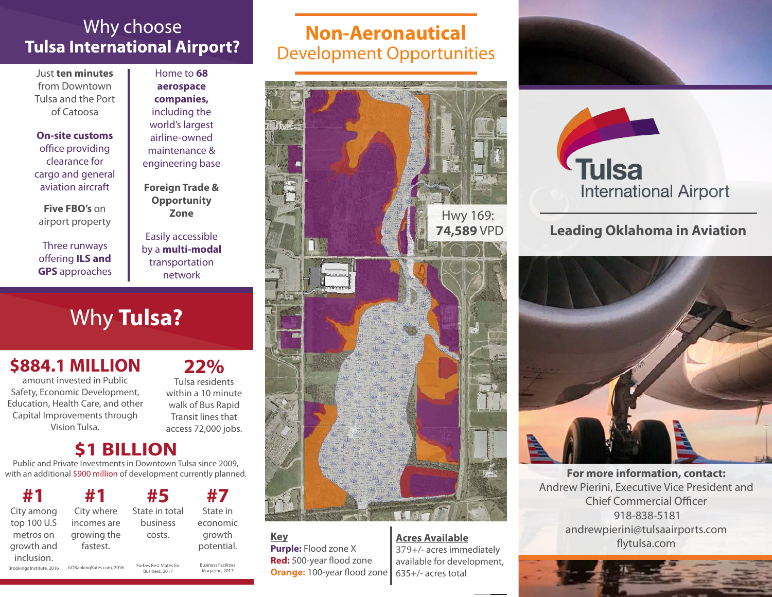### Why choose **Tulsa International Airport?**

Just **ten minutes** from Downtown Tulsa and the Port of Catoosa

**On-site customs** office providing clearance for cargo and general aviation aircraft

**Five FBO's** on airport property

Three runways offering **ILS and GPS** approaches

Home to **68 aerospace companies,**  including the world's largest airline-owned maintenance & engineering base

**Foreign Trade & Opportunity Zone**

Easily accessible by a **multi-modal**  transportation network

# Why **Tulsa?**

## **\$884.1 MILLION**

amount invested in Public Safety, Economic Development, Education, Health Care, and other Capital Improvements through Vision Tulsa.

#### **22%** Tulsa residents

within a 10 minute walk of Bus Rapid Transit lines that access 72,000 jobs.

### **BILLION**

Public and Private Investments in Downtown Tulsa since 2009, with an additional \$900 million of development currently planned.

| #1          | #1          |
|-------------|-------------|
| City among  | City where  |
| top 100 U.S | incomes are |
| metros on   | growing the |
| growth and  | fastest.    |
| inclusion.  |             |

| #5             | #7         |
|----------------|------------|
| State in total | State in   |
| business       | economic   |
| costs.         | growth     |
|                | potential. |
|                |            |

Brookings Institute, 2016 GOBankingRates.com, 2016 Forbes Best States for Business, 2017

Business Facilities Magazine, 2017

## **Non-Aeronautical**  Development Opportunities



#### **Key**

**Purple:** Flood zone X **Red:** 500-year flood zone **Orange:** 100-year flood zone

**Acres Available** 379+/- acres immediately available for development, 635+/- acres total





#### **Leading Oklahoma in Aviation**



**For more information, contact:** Andrew Pierini, Executive Vice President and Chief Commercial Officer 918-838-5181 andrewpierini@tulsaairports.com flytulsa.com